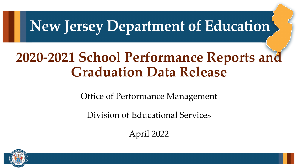### **New Jersey Department of Education**

### **2020-2021 School Performance Reports and Graduation Data Release**

Office of Performance Management

Division of Educational Services

April 2022

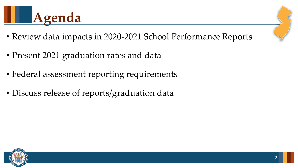

- Review data impacts in 2020-2021 School Performance Reports
- Present 2021 graduation rates and data
- Federal assessment reporting requirements
- Discuss release of reports/graduation data

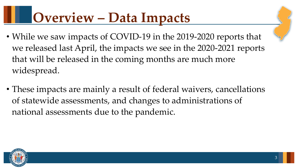# **Overview – Data Impacts**

- While we saw impacts of COVID-19 in the 2019-2020 reports that we released last April, the impacts we see in the 2020-2021 reports that will be released in the coming months are much more widespread.
- These impacts are mainly a result of federal waivers, cancellations of statewide assessments, and changes to administrations of national assessments due to the pandemic.

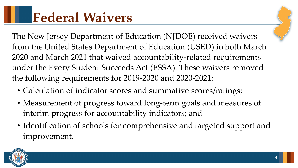The New Jersey Department of Education (NJDOE) received waivers from the United States Department of Education (USED) in both March 2020 and March 2021 that waived accountability-related requirements under the Every Student Succeeds Act (ESSA). These waivers removed the following requirements for 2019-2020 and 2020-2021:

- Calculation of indicator scores and summative scores/ratings;
- Measurement of progress toward long-term goals and measures of interim progress for accountability indicators; and
- Identification of schools for comprehensive and targeted support and improvement.

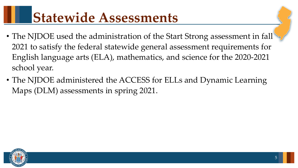# **Statewide Assessments**

- The NJDOE used the administration of the Start Strong assessment in fall 2021 to satisfy the federal statewide general assessment requirements for English language arts (ELA), mathematics, and science for the 2020-2021 school year.
- The NJDOE administered the ACCESS for ELLs and Dynamic Learning Maps (DLM) assessments in spring 2021.

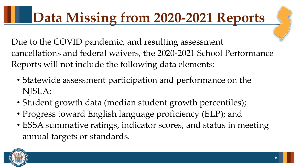# **Data Missing from 2020-2021 Reports**

Due to the COVID pandemic, and resulting assessment cancellations and federal waivers, the 2020-2021 School Performance Reports will not include the following data elements:

- Statewide assessment participation and performance on the NJSLA;
- Student growth data (median student growth percentiles);
- Progress toward English language proficiency (ELP); and
- ESSA summative ratings, indicator scores, and status in meeting annual targets or standards.

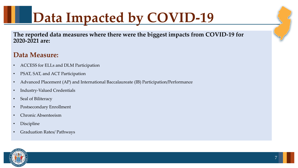# **Data Impacted by COVID-19**

**The reported data measures where there were the biggest impacts from COVID-19 for 2020-2021 are:**

#### **Data Measure:**

- ACCESS for ELLs and DLM Participation
- PSAT, SAT, and ACT Participation
- Advanced Placement (AP) and International Baccalaureate (IB) Participation/Performance
- Industry-Valued Credentials
- Seal of Biliteracy
- Postsecondary Enrollment
- Chronic Absenteeism
- Discipline
- Graduation Rates/ Pathways

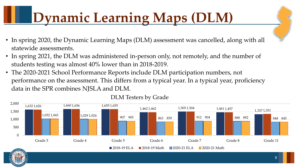# **Dynamic Learning Maps (DLM)**

- In spring 2020, the Dynamic Learning Maps (DLM) assessment was cancelled, along with all statewide assessments.
- In spring 2021, the DLM was administered in-person only, not remotely, and the number of students testing was almost 40% lower than in 2018-2019.
- The 2020-2021 School Performance Reports include DLM participation numbers, not performance on the assessment. This differs from a typical year. In a typical year, proficiency data in the SPR combines NJSLA and DLM.



#### DLM Testers by Grade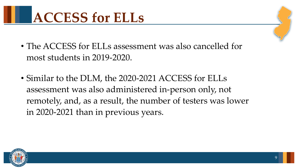

- The ACCESS for ELLs assessment was also cancelled for most students in 2019-2020.
- Similar to the DLM, the 2020-2021 ACCESS for ELLs assessment was also administered in-person only, not remotely, and, as a result, the number of testers was lower in 2020-2021 than in previous years.

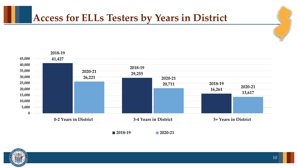### **Access for ELLs Testers by Years in District**



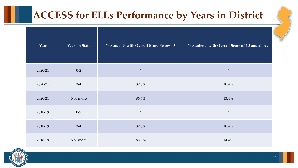### **ACCESS for ELLs Performance by Years in District**

| Year    | <b>Years in State</b> | % Students with Overall Score Below 4.5 | % Students with Overall Score of 4.5 and above |
|---------|-----------------------|-----------------------------------------|------------------------------------------------|
| 2020-21 | $0 - 2$               | $\ast$                                  | $\ast$                                         |
| 2020-21 | $3-4$                 | 89.6%                                   | 10.4%                                          |
| 2020-21 | 5 or more             | 86.6%                                   | 13.4%                                          |
| 2018-19 | $0 - 2$               | $\ast$                                  | $\ast$                                         |
| 2018-19 | $3-4$                 | 89.6%                                   | 10.4%                                          |
| 2018-19 | 5 or more             | 85.6%                                   | 14.4%                                          |

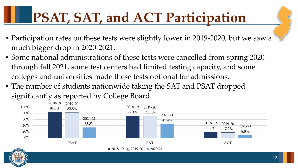# **PSAT, SAT, and ACT Participation**

- Participation rates on these tests were slightly lower in 2019-2020, but we saw a much bigger drop in 2020-2021.
- Some national administrations of these tests were cancelled from spring 2020 through fall 2021, some test centers had limited testing capacity, and some colleges and universities made these tests optional for admissions.
- The number of students nationwide taking the SAT and PSAT dropped significantly as reported by College Board.

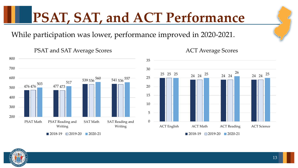# **PSAT, SAT, and ACT Performance**

While participation was lower, performance improved in 2020-2021.



#### PSAT and SAT Average Scores

ACT Average Scores

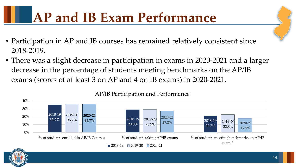# **AP and IB Exam Performance**

- Participation in AP and IB courses has remained relatively consistent since 2018-2019.
- There was a slight decrease in participation in exams in 2020-2021 and a larger decrease in the percentage of students meeting benchmarks on the AP/IB exams (scores of at least 3 on AP and 4 on IB exams) in 2020-2021.



AP/IB Participation and Performance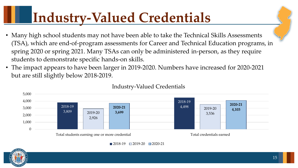# **Industry-Valued Credentials**

- Many high school students may not have been able to take the Technical Skills Assessments (TSA), which are end-of-program assessments for Career and Technical Education programs, in spring 2020 or spring 2021. Many TSAs can only be administered in-person, as they require students to demonstrate specific hands-on skills.
- The impact appears to have been larger in 2019-2020. Numbers have increased for 2020-2021 but are still slightly below 2018-2019.



#### Industry-Valued Credentials

 $\Box$  2018-19  $\Box$  2019-20  $\Box$  2020-21

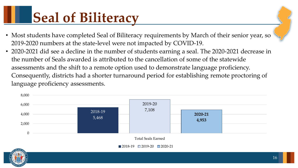# **Seal of Biliteracy**

- Most students have completed Seal of Biliteracy requirements by March of their senior year, so 2019-2020 numbers at the state-level were not impacted by COVID-19.
- 2020-2021 did see a decline in the number of students earning a seal. The 2020-2021 decrease in the number of Seals awarded is attributed to the cancellation of some of the statewide assessments and the shift to a remote option used to demonstrate language proficiency. Consequently, districts had a shorter turnaround period for establishing remote proctoring of language proficiency assessments.

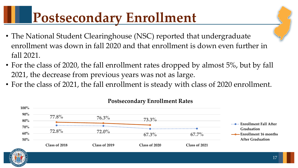# **Postsecondary Enrollment**

- The National Student Clearinghouse (NSC) reported that undergraduate enrollment was down in fall 2020 and that enrollment is down even further in fall 2021.
- For the class of 2020, the fall enrollment rates dropped by almost 5%, but by fall 2021, the decrease from previous years was not as large.
- For the class of 2021, the fall enrollment is steady with class of 2020 enrollment.



#### **Postsecondary Enrollment Rates** Poeteoson dows Enve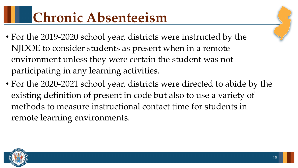# **Chronic Absenteeism**

- For the 2019-2020 school year, districts were instructed by the NJDOE to consider students as present when in a remote environment unless they were certain the student was not participating in any learning activities.
- For the 2020-2021 school year, districts were directed to abide by the existing definition of present in code but also to use a variety of methods to measure instructional contact time for students in remote learning environments.

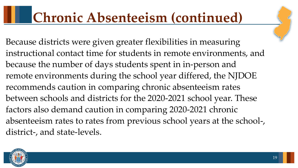### **Chronic Absenteeism (continued)**

Because districts were given greater flexibilities in measuring instructional contact time for students in remote environments, and because the number of days students spent in in-person and remote environments during the school year differed, the NJDOE recommends caution in comparing chronic absenteeism rates between schools and districts for the 2020-2021 school year. These factors also demand caution in comparing 2020-2021 chronic absenteeism rates to rates from previous school years at the school-, district-, and state-levels.

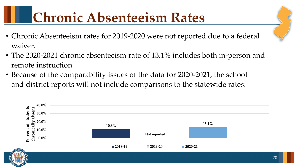# **Chronic Absenteeism Rates**

- Chronic Absenteeism rates for 2019-2020 were not reported due to a federal waiver.
- The 2020-2021 chronic absenteeism rate of 13.1% includes both in-person and remote instruction.
- Because of the comparability issues of the data for 2020-2021, the school and district reports will not include comparisons to the statewide rates.

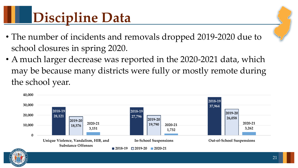# **Discipline Data**

- The number of incidents and removals dropped 2019-2020 due to school closures in spring 2020.
- A much larger decrease was reported in the 2020-2021 data, which may be because many districts were fully or mostly remote during the school year.

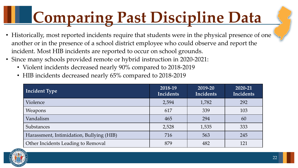# **Comparing Past Discipline Data**

- Historically, most reported incidents require that students were in the physical presence of one another or in the presence of a school district employee who could observe and report the incident. Most HIB incidents are reported to occur on school grounds.
- Since many schools provided remote or hybrid instruction in 2020-2021:
	- Violent incidents decreased nearly 90% compared to 2018-2019
	- HIB incidents decreased nearly 65% compared to 2018-2019

| <b>Incident Type</b>                     | 2018-19<br>Incidents | 2019-20<br>Incidents | 2020-21<br>Incidents |
|------------------------------------------|----------------------|----------------------|----------------------|
| Violence                                 | 2,594                | 1,782                | 292                  |
| Weapons                                  | 617                  | 339                  | 103                  |
| Vandalism                                | 465                  | 294                  | 60                   |
| <b>Substances</b>                        | 2,528                | 1,535                | 333                  |
| Harassment, Intimidation, Bullying (HIB) | 716                  | 563                  | 245                  |
| Other Incidents Leading to Removal       | 879                  | 482                  | 121                  |

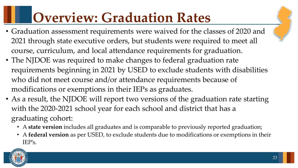# **Overview: Graduation Rates**

- Graduation assessment requirements were waived for the classes of 2020 and 2021 through state executive orders, but students were required to meet all course, curriculum, and local attendance requirements for graduation.
- The NJDOE was required to make changes to federal graduation rate requirements beginning in 2021 by USED to exclude students with disabilities who did not meet course and/or attendance requirements because of modifications or exemptions in their IEPs as graduates.
- As a result, the NJDOE will report two versions of the graduation rate starting with the 2020-2021 school year for each school and district that has a graduating cohort:
	- A **state version** includes all graduates and is comparable to previously reported graduation;
	- A **federal version** as per USED, to exclude students due to modifications or exemptions in their IEP's.

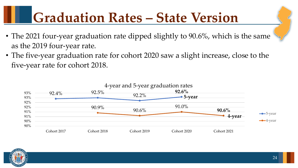# **Graduation Rates – State Version**

- The 2021 four-year graduation rate dipped slightly to 90.6%, which is the same as the 2019 four-year rate.
- The five-year graduation rate for cohort 2020 saw a slight increase, close to the five-year rate for cohort 2018.



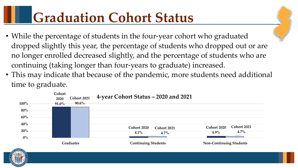# **Graduation Cohort Status**

- While the percentage of students in the four-year cohort who graduated dropped slightly this year, the percentage of students who dropped out or are no longer enrolled decreased slightly, and the percentage of students who are continuing (taking longer than four-years to graduate) increased.
- This may indicate that because of the pandemic, more students need additional time to graduate.



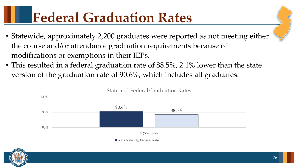## **Federal Graduation Rates**

- Statewide, approximately 2,200 graduates were reported as not meeting either the course and/or attendance graduation requirements because of modifications or exemptions in their IEPs.
- This resulted in a federal graduation rate of 88.5%, 2.1% lower than the state version of the graduation rate of 90.6%, which includes all graduates.



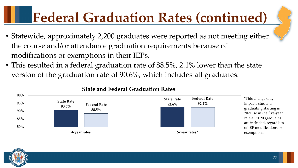# **Federal Graduation Rates (continued)**

- Statewide, approximately 2,200 graduates were reported as not meeting either the course and/or attendance graduation requirements because of modifications or exemptions in their IEPs.
- This resulted in a federal graduation rate of 88.5%, 2.1% lower than the state version of the graduation rate of 90.6%, which includes all graduates.



#### **State and Federal Graduation Rates**

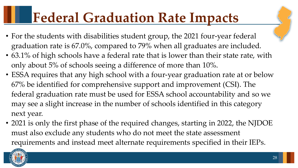# **Federal Graduation Rate Impacts**

- For the students with disabilities student group, the 2021 four-year federal graduation rate is 67.0%, compared to 79% when all graduates are included.
- 63.1% of high schools have a federal rate that is lower than their state rate, with only about 5% of schools seeing a difference of more than 10%.
- ESSA requires that any high school with a four-year graduation rate at or below 67% be identified for comprehensive support and improvement (CSI). The federal graduation rate must be used for ESSA school accountability and so we may see a slight increase in the number of schools identified in this category next year.
- 2021 is only the first phase of the required changes, starting in 2022, the NJDOE must also exclude any students who do not meet the state assessment requirements and instead meet alternate requirements specified in their IEPs.

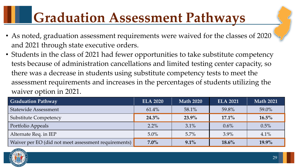# **Graduation Assessment Pathways**

- As noted, graduation assessment requirements were waived for the classes of 2020 and 2021 through state executive orders.
- Students in the class of 2021 had fewer opportunities to take substitute competency tests because of administration cancellations and limited testing center capacity, so there was a decrease in students using substitute competency tests to meet the assessment requirements and increases in the percentages of students utilizing the waiver option in 2021.

| Graduation Pathway                                   | <b>ELA 2020</b> | <b>Math 2020</b> | <b>ELA 2021</b> | <b>Math 2021</b> |
|------------------------------------------------------|-----------------|------------------|-----------------|------------------|
| <b>Statewide Assessment</b>                          | 61.4%           | $58.1\%$         | 59.8%           | 59.0%            |
| <b>Substitute Competency</b>                         | $24.3\%$        | $23.9\%$         | $17.1\%$        | $16.5\%$         |
| Portfolio Appeals                                    | $2.2\%$         | 3.1%             | $0.6\%$         | 0.5%             |
| Alternate Req. in IEP                                | $5.0\%$         | 5.7%             | $3.9\%$         | 4.1%             |
| Waiver per EO (did not meet assessment requirements) | $7.0\%$         | $9.1\%$          | $18.6\%$        | $19.9\%$         |

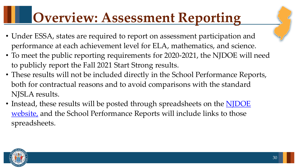## **Overview: Assessment Reporting**

- Under ESSA, states are required to report on assessment participation and performance at each achievement level for ELA, mathematics, and science.
- To meet the public reporting requirements for 2020-2021, the NJDOE will need to publicly report the Fall 2021 Start Strong results.
- These results will not be included directly in the School Performance Reports, both for contractual reasons and to avoid comparisons with the standard NJSLA results.
- Instead, these results will be posted through spreadsheets on the **NJDOE** website, and the School Performance Reports will include links to those spreadsheets.

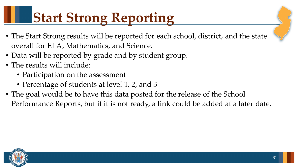# **Start Strong Reporting**

- The Start Strong results will be reported for each school, district, and the state overall for ELA, Mathematics, and Science.
- Data will be reported by grade and by student group.
- The results will include:
	- Participation on the assessment
	- Percentage of students at level 1, 2, and 3
- The goal would be to have this data posted for the release of the School Performance Reports, but if it is not ready, a link could be added at a later date.

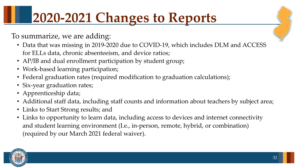# **2020-2021 Changes to Reports**

To summarize, we are adding:

- Data that was missing in 2019-2020 due to COVID-19, which includes DLM and ACCESS for ELLs data, chronic absenteeism, and device ratios;
- AP/IB and dual enrollment participation by student group;
- Work-based learning participation;
- Federal graduation rates (required modification to graduation calculations);
- Six-year graduation rates;
- Apprenticeship data;
- Additional staff data, including staff counts and information about teachers by subject area;
- Links to Start Strong results; and
- Links to opportunity to learn data, including access to devices and internet connectivity and student learning environment (I.e., in-person, remote, hybrid, or combination) (required by our March 2021 federal waiver).